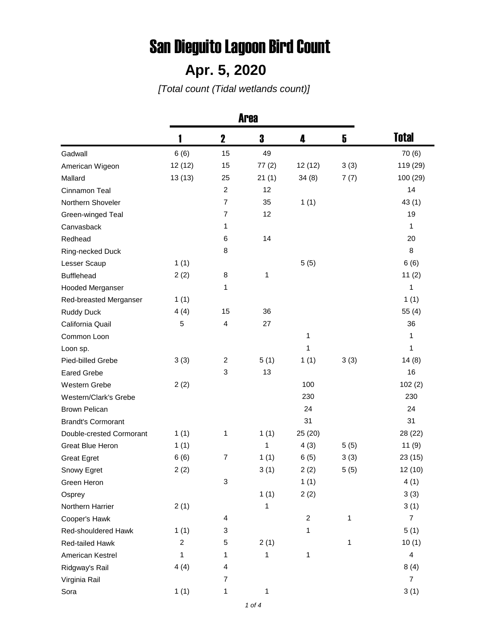## San Dieguito Lagoon Bird Count

## **Apr. 5, 2020**

*[Total count (Tidal wetlands count)]*

|                           |                  | $\mathbf 2$    | 3     | 4              | 5    | <b>Total</b>            |
|---------------------------|------------------|----------------|-------|----------------|------|-------------------------|
| Gadwall                   | 6(6)             | 15             | 49    |                |      | 70(6)                   |
| American Wigeon           | 12(12)           | 15             | 77(2) | 12(12)         | 3(3) | 119 (29)                |
| Mallard                   | 13(13)           | 25             | 21(1) | 34(8)          | 7(7) | 100 (29)                |
| Cinnamon Teal             |                  | $\overline{2}$ | 12    |                |      | 14                      |
| Northern Shoveler         |                  | $\overline{7}$ | 35    | 1(1)           |      | 43(1)                   |
| Green-winged Teal         |                  | $\overline{7}$ | 12    |                |      | 19                      |
| Canvasback                |                  | 1              |       |                |      | 1                       |
| Redhead                   |                  | 6              | 14    |                |      | 20                      |
| Ring-necked Duck          |                  | 8              |       |                |      | 8                       |
| Lesser Scaup              | 1(1)             |                |       | 5(5)           |      | 6(6)                    |
| <b>Bufflehead</b>         | 2(2)             | 8              | 1     |                |      | 11(2)                   |
| <b>Hooded Merganser</b>   |                  | 1              |       |                |      | 1                       |
| Red-breasted Merganser    | 1(1)             |                |       |                |      | 1(1)                    |
| <b>Ruddy Duck</b>         | 4(4)             | 15             | 36    |                |      | 55(4)                   |
| California Quail          | 5                | 4              | 27    |                |      | 36                      |
| Common Loon               |                  |                |       | 1              |      | 1                       |
| Loon sp.                  |                  |                |       | 1              |      | 1                       |
| Pied-billed Grebe         | 3(3)             | $\overline{c}$ | 5(1)  | 1(1)           | 3(3) | 14(8)                   |
| <b>Eared Grebe</b>        |                  | 3              | 13    |                |      | 16                      |
| Western Grebe             | 2(2)             |                |       | 100            |      | 102(2)                  |
| Western/Clark's Grebe     |                  |                |       | 230            |      | 230                     |
| <b>Brown Pelican</b>      |                  |                |       | 24             |      | 24                      |
| <b>Brandt's Cormorant</b> |                  |                |       | 31             |      | 31                      |
| Double-crested Cormorant  | 1(1)             | 1              | 1(1)  | 25 (20)        |      | 28 (22)                 |
| Great Blue Heron          | 1(1)             |                | 1     | 4(3)           | 5(5) | 11(9)                   |
| <b>Great Egret</b>        | 6(6)             | $\overline{7}$ | 1(1)  | 6(5)           | 3(3) | 23 (15)                 |
| Snowy Egret               | 2(2)             |                | 3(1)  | 2(2)           | 5(5) | 12(10)                  |
| Green Heron               |                  | 3              |       | 1(1)           |      | 4(1)                    |
| Osprey                    |                  |                | 1(1)  | 2(2)           |      | 3(3)                    |
| Northern Harrier          | 2(1)             |                | 1     |                |      | 3(1)                    |
| Cooper's Hawk             |                  | 4              |       | $\overline{c}$ | 1    | $\overline{7}$          |
| Red-shouldered Hawk       | 1(1)             | 3              |       | 1              |      | 5(1)                    |
| Red-tailed Hawk           | $\boldsymbol{2}$ | 5              | 2(1)  |                | 1    | 10(1)                   |
| American Kestrel          | $\mathbf{1}$     | 1              | 1     | $\mathbf{1}$   |      | $\overline{\mathbf{4}}$ |
| Ridgway's Rail            | 4(4)             | 4              |       |                |      | 8(4)                    |
| Virginia Rail             |                  | $\overline{7}$ |       |                |      | $\overline{7}$          |
| Sora                      | 1(1)             | 1              | 1     |                |      | 3(1)                    |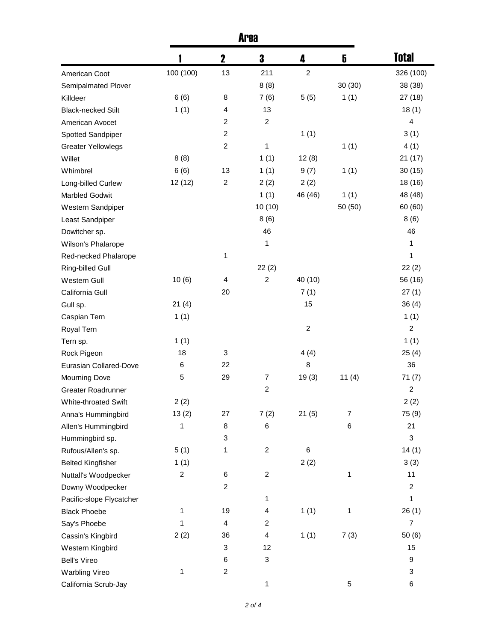|                           |                  | $\mathbf 2$               | 3                       | 4                | 5                | <b>Total</b>     |
|---------------------------|------------------|---------------------------|-------------------------|------------------|------------------|------------------|
| American Coot             | 100 (100)        | 13                        | 211                     | $\boldsymbol{2}$ |                  | 326 (100)        |
| Semipalmated Plover       |                  |                           | 8(8)                    |                  | 30(30)           | 38 (38)          |
| Killdeer                  | 6(6)             | 8                         | 7(6)                    | 5(5)             | 1(1)             | 27 (18)          |
| <b>Black-necked Stilt</b> | 1(1)             | 4                         | 13                      |                  |                  | 18(1)            |
| American Avocet           |                  | $\overline{c}$            | $\boldsymbol{2}$        |                  |                  | 4                |
| Spotted Sandpiper         |                  | $\overline{\mathbf{c}}$   |                         | 1(1)             |                  | 3(1)             |
| <b>Greater Yellowlegs</b> |                  | $\overline{c}$            | 1                       |                  | 1(1)             | 4(1)             |
| Willet                    | 8(8)             |                           | 1(1)                    | 12(8)            |                  | 21(17)           |
| Whimbrel                  | 6(6)             | 13                        | 1(1)                    | 9(7)             | 1(1)             | 30(15)           |
| Long-billed Curlew        | 12 (12)          | $\boldsymbol{2}$          | 2(2)                    | 2(2)             |                  | 18 (16)          |
| <b>Marbled Godwit</b>     |                  |                           | 1(1)                    | 46 (46)          | 1(1)             | 48 (48)          |
| Western Sandpiper         |                  |                           | 10(10)                  |                  | 50 (50)          | 60 (60)          |
| Least Sandpiper           |                  |                           | 8(6)                    |                  |                  | 8(6)             |
| Dowitcher sp.             |                  |                           | 46                      |                  |                  | 46               |
| Wilson's Phalarope        |                  |                           | 1                       |                  |                  | 1                |
| Red-necked Phalarope      |                  | 1                         |                         |                  |                  | 1                |
| Ring-billed Gull          |                  |                           | 22(2)                   |                  |                  | 22(2)            |
| Western Gull              | 10(6)            | 4                         | $\boldsymbol{2}$        | 40 (10)          |                  | 56 (16)          |
| California Gull           |                  | 20                        |                         | 7(1)             |                  | 27(1)            |
| Gull sp.                  | 21(4)            |                           |                         | 15               |                  | 36(4)            |
| Caspian Tern              | 1(1)             |                           |                         |                  |                  | 1(1)             |
| Royal Tern                |                  |                           |                         | $\boldsymbol{2}$ |                  | $\overline{c}$   |
| Tern sp.                  | 1(1)             |                           |                         |                  |                  | 1(1)             |
| Rock Pigeon               | 18               | 3                         |                         | 4(4)             |                  | 25(4)            |
| Eurasian Collared-Dove    | 6                | 22                        |                         | 8                |                  | 36               |
| <b>Mourning Dove</b>      | 5                | 29                        | $\boldsymbol{7}$        | 19(3)            | 11(4)            | 71(7)            |
| Greater Roadrunner        |                  |                           | $\boldsymbol{2}$        |                  |                  | $\overline{c}$   |
| White-throated Swift      | 2(2)             |                           |                         |                  |                  | 2(2)             |
| Anna's Hummingbird        | 13(2)            | 27                        | 7(2)                    | 21(5)            | $\boldsymbol{7}$ | 75 (9)           |
| Allen's Hummingbird       | 1                | 8                         | 6                       |                  | $\,6$            | 21               |
| Hummingbird sp.           |                  | 3                         |                         |                  |                  | 3                |
| Rufous/Allen's sp.        | 5(1)             | 1                         | $\overline{\mathbf{c}}$ | 6                |                  | 14(1)            |
| <b>Belted Kingfisher</b>  | 1(1)             |                           |                         | 2(2)             |                  | 3(3)             |
| Nuttall's Woodpecker      | $\boldsymbol{2}$ | $\,6$                     | $\overline{\mathbf{c}}$ |                  | 1                | 11               |
| Downy Woodpecker          |                  | $\overline{c}$            |                         |                  |                  | $\overline{c}$   |
| Pacific-slope Flycatcher  |                  |                           | 1                       |                  |                  | 1                |
| <b>Black Phoebe</b>       | 1                | 19                        | $\overline{\mathbf{4}}$ | 1(1)             | 1                | 26(1)            |
| Say's Phoebe              | 1                | $\overline{4}$            | $\overline{\mathbf{c}}$ |                  |                  | $\overline{7}$   |
| Cassin's Kingbird         | 2(2)             | 36                        | $\overline{\mathbf{4}}$ | 1(1)             | 7(3)             | 50(6)            |
| Western Kingbird          |                  | $\ensuremath{\mathsf{3}}$ | 12                      |                  |                  | 15               |
| <b>Bell's Vireo</b>       |                  | 6                         | 3                       |                  |                  | $\boldsymbol{9}$ |
|                           | 1                | $\boldsymbol{2}$          |                         |                  |                  | 3                |
| <b>Warbling Vireo</b>     |                  |                           |                         |                  |                  |                  |
| California Scrub-Jay      |                  |                           | 1                       |                  | 5                | 6                |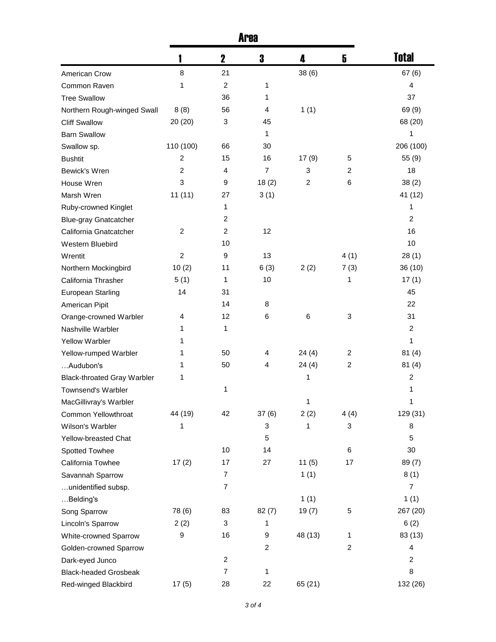|                                    | <b>Area</b>    |                |                |         |                  |                |
|------------------------------------|----------------|----------------|----------------|---------|------------------|----------------|
|                                    |                | $\mathbf 2$    | 3              | 4       | 5                | <b>Total</b>   |
| American Crow                      | 8              | 21             |                | 38(6)   |                  | 67(6)          |
| Common Raven                       | 1              | $\overline{c}$ | 1              |         |                  | 4              |
| <b>Tree Swallow</b>                |                | 36             | 1              |         |                  | 37             |
| Northern Rough-winged Swall        | 8(8)           | 56             | 4              | 1(1)    |                  | 69 (9)         |
| <b>Cliff Swallow</b>               | 20 (20)        | 3              | 45             |         |                  | 68 (20)        |
| <b>Barn Swallow</b>                |                |                | 1              |         |                  | 1              |
| Swallow sp.                        | 110 (100)      | 66             | 30             |         |                  | 206 (100)      |
| <b>Bushtit</b>                     | 2              | 15             | 16             | 17(9)   | 5                | 55 (9)         |
| Bewick's Wren                      | 2              | 4              | 7              | 3       | $\overline{2}$   | 18             |
| House Wren                         | 3              | 9              | 18(2)          | 2       | 6                | 38(2)          |
| Marsh Wren                         | 11(11)         | 27             | 3(1)           |         |                  | 41 (12)        |
| Ruby-crowned Kinglet               |                | 1              |                |         |                  | 1              |
| <b>Blue-gray Gnatcatcher</b>       |                | $\overline{c}$ |                |         |                  | 2              |
| California Gnatcatcher             | 2              | $\overline{2}$ | 12             |         |                  | 16             |
| Western Bluebird                   |                | 10             |                |         |                  | 10             |
| Wrentit                            | $\overline{c}$ | 9              | 13             |         | 4(1)             | 28(1)          |
| Northern Mockingbird               | 10(2)          | 11             | 6(3)           | 2(2)    | 7(3)             | 36 (10)        |
| California Thrasher                | 5(1)           | 1              | 10             |         | 1                | 17(1)          |
| European Starling                  | 14             | 31             |                |         |                  | 45             |
| American Pipit                     |                | 14             | 8              |         |                  | 22             |
| Orange-crowned Warbler             | 4              | 12             | 6              | 6       | 3                | 31             |
| Nashville Warbler                  | 1              | $\mathbf{1}$   |                |         |                  | $\overline{2}$ |
| <b>Yellow Warbler</b>              | 1              |                |                |         |                  | 1              |
| Yellow-rumped Warbler              | 1              | 50             | 4              | 24(4)   | 2                | 81(4)          |
| Audubon's                          | 1              | 50             | 4              | 24(4)   | $\overline{2}$   | 81(4)          |
| <b>Black-throated Gray Warbler</b> | 1              |                |                | 1       |                  | $\overline{c}$ |
| Townsend's Warbler                 |                | 1              |                |         |                  | 1              |
| MacGillivray's Warbler             |                |                |                | 1       |                  | 1              |
| Common Yellowthroat                | 44 (19)        | 42             | 37(6)          | 2(2)    | 4(4)             | 129 (31)       |
| Wilson's Warbler                   | 1              |                | 3              | 1       | 3                | 8              |
| Yellow-breasted Chat               |                |                | 5              |         |                  | 5              |
| Spotted Towhee                     |                | 10             | 14             |         | 6                | 30             |
| California Towhee                  | 17(2)          | 17             | 27             | 11(5)   | 17               | 89(7)          |
| Savannah Sparrow                   |                | 7              |                | 1(1)    |                  | 8(1)           |
| unidentified subsp.                |                | $\overline{7}$ |                |         |                  | $\overline{7}$ |
| Belding's                          |                |                |                | 1(1)    |                  | 1(1)           |
|                                    | 78 (6)         | 83             | 82(7)          | 19(7)   | 5                | 267 (20)       |
| Song Sparrow<br>Lincoln's Sparrow  | 2(2)           | 3              | 1              |         |                  | 6(2)           |
|                                    | 9              | 16             | 9              | 48 (13) | 1                | 83 (13)        |
| White-crowned Sparrow              |                |                | $\overline{c}$ |         | $\boldsymbol{2}$ | 4              |
| Golden-crowned Sparrow             |                | $\overline{c}$ |                |         |                  | $\overline{2}$ |
| Dark-eyed Junco                    |                | $\overline{7}$ |                |         |                  | 8              |
| <b>Black-headed Grosbeak</b>       |                |                | 1              |         |                  |                |
| Red-winged Blackbird               | 17(5)          | 28             | 22             | 65 (21) |                  | 132 (26)       |